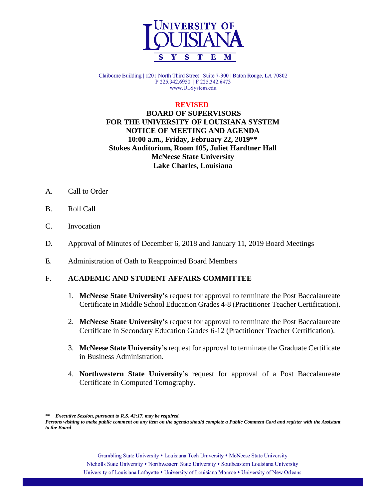

Claiborne Building | 1201 North Third Street | Suite 7-300 | Baton Rouge, LA 70802 P 225.342.6950 | F 225.342.6473 www.ULSystem.edu

#### **REVISED**

## **BOARD OF SUPERVISORS FOR THE UNIVERSITY OF LOUISIANA SYSTEM NOTICE OF MEETING AND AGENDA 10:00 a.m., Friday, February 22, 2019\*\* Stokes Auditorium, Room 105, Juliet Hardtner Hall McNeese State University Lake Charles, Louisiana**

- A. Call to Order
- B. Roll Call
- C. Invocation
- D. Approval of Minutes of December 6, 2018 and January 11, 2019 Board Meetings
- E. Administration of Oath to Reappointed Board Members

### F. **ACADEMIC AND STUDENT AFFAIRS COMMITTEE**

- 1. **McNeese State University's** request for approval to terminate the Post Baccalaureate Certificate in Middle School Education Grades 4-8 (Practitioner Teacher Certification).
- 2. **McNeese State University's** request for approval to terminate the Post Baccalaureate Certificate in Secondary Education Grades 6-12 (Practitioner Teacher Certification).
- 3. **McNeese State University's** request for approval to terminate the Graduate Certificate in Business Administration.
- 4. **Northwestern State University's** request for approval of a Post Baccalaureate Certificate in Computed Tomography.

**\*\*** *Executive Session, pursuant to R.S. 42:17, may be required.*

*Persons wishing to make public comment on any item on the agenda should complete a Public Comment Card and register with the Assistant to the Board*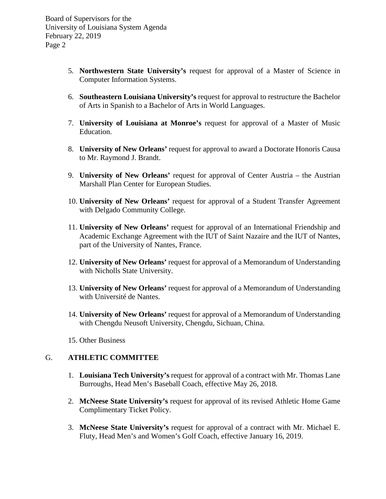- 5. **Northwestern State University's** request for approval of a Master of Science in Computer Information Systems.
- 6. **Southeastern Louisiana University's** request for approval to restructure the Bachelor of Arts in Spanish to a Bachelor of Arts in World Languages.
- 7. **University of Louisiana at Monroe's** request for approval of a Master of Music Education.
- 8. **University of New Orleans'** request for approval to award a Doctorate Honoris Causa to Mr. Raymond J. Brandt.
- 9. **University of New Orleans'** request for approval of Center Austria the Austrian Marshall Plan Center for European Studies.
- 10. **University of New Orleans'** request for approval of a Student Transfer Agreement with Delgado Community College.
- 11. **University of New Orleans'** request for approval of an International Friendship and Academic Exchange Agreement with the IUT of Saint Nazaire and the IUT of Nantes, part of the University of Nantes, France.
- 12. **University of New Orleans'** request for approval of a Memorandum of Understanding with Nicholls State University.
- 13. **University of New Orleans'** request for approval of a Memorandum of Understanding with Université de Nantes.
- 14. **University of New Orleans'** request for approval of a Memorandum of Understanding with Chengdu Neusoft University, Chengdu, Sichuan, China.
- 15. Other Business

## G. **ATHLETIC COMMITTEE**

- 1. **Louisiana Tech University's** request for approval of a contract with Mr. Thomas Lane Burroughs, Head Men's Baseball Coach, effective May 26, 2018.
- 2. **McNeese State University's** request for approval of its revised Athletic Home Game Complimentary Ticket Policy.
- 3. **McNeese State University's** request for approval of a contract with Mr. Michael E. Fluty, Head Men's and Women's Golf Coach, effective January 16, 2019.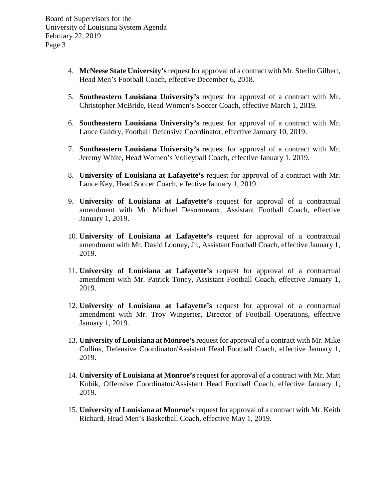- 4. **McNeese State University's** request for approval of a contract with Mr. Sterlin Gilbert, Head Men's Football Coach, effective December 6, 2018.
- 5. **Southeastern Louisiana University's** request for approval of a contract with Mr. Christopher McBride, Head Women's Soccer Coach, effective March 1, 2019.
- 6. **Southeastern Louisiana University's** request for approval of a contract with Mr. Lance Guidry, Football Defensive Coordinator, effective January 10, 2019.
- 7. **Southeastern Louisiana University's** request for approval of a contract with Mr. Jeremy White, Head Women's Volleyball Coach, effective January 1, 2019.
- 8. **University of Louisiana at Lafayette's** request for approval of a contract with Mr. Lance Key, Head Soccer Coach, effective January 1, 2019.
- 9. **University of Louisiana at Lafayette's** request for approval of a contractual amendment with Mr. Michael Desormeaux, Assistant Football Coach, effective January 1, 2019.
- 10. **University of Louisiana at Lafayette's** request for approval of a contractual amendment with Mr. David Looney, Jr., Assistant Football Coach, effective January 1, 2019.
- 11. **University of Louisiana at Lafayette's** request for approval of a contractual amendment with Mr. Patrick Toney, Assistant Football Coach, effective January 1, 2019.
- 12. **University of Louisiana at Lafayette's** request for approval of a contractual amendment with Mr. Troy Wingerter, Director of Football Operations, effective January 1, 2019.
- 13. **University of Louisiana at Monroe's** request for approval of a contract with Mr. Mike Collins, Defensive Coordinator/Assistant Head Football Coach, effective January 1, 2019.
- 14. **University of Louisiana at Monroe's** request for approval of a contract with Mr. Matt Kubik, Offensive Coordinator/Assistant Head Football Coach, effective January 1, 2019.
- 15. **University of Louisiana at Monroe's** request for approval of a contract with Mr. Keith Richard, Head Men's Basketball Coach, effective May 1, 2019.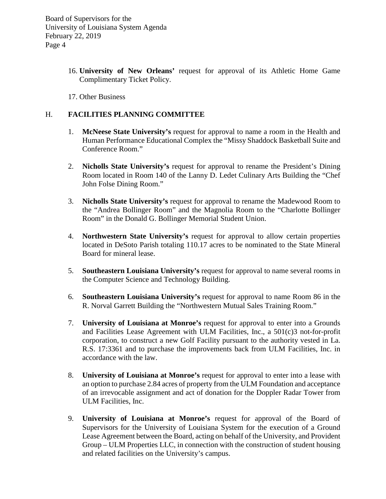- 16. **University of New Orleans'** request for approval of its Athletic Home Game Complimentary Ticket Policy.
- 17. Other Business

### H. **FACILITIES PLANNING COMMITTEE**

- 1. **McNeese State University's** request for approval to name a room in the Health and Human Performance Educational Complex the "Missy Shaddock Basketball Suite and Conference Room."
- 2. **Nicholls State University's** request for approval to rename the President's Dining Room located in Room 140 of the Lanny D. Ledet Culinary Arts Building the "Chef John Folse Dining Room."
- 3. **Nicholls State University's** request for approval to rename the Madewood Room to the "Andrea Bollinger Room" and the Magnolia Room to the "Charlotte Bollinger Room" in the Donald G. Bollinger Memorial Student Union.
- 4. **Northwestern State University's** request for approval to allow certain properties located in DeSoto Parish totaling 110.17 acres to be nominated to the State Mineral Board for mineral lease.
- 5. **Southeastern Louisiana University's** request for approval to name several rooms in the Computer Science and Technology Building.
- 6. **Southeastern Louisiana University's** request for approval to name Room 86 in the R. Norval Garrett Building the "Northwestern Mutual Sales Training Room."
- 7. **University of Louisiana at Monroe's** request for approval to enter into a Grounds and Facilities Lease Agreement with ULM Facilities, Inc., a 501(c)3 not-for-profit corporation, to construct a new Golf Facility pursuant to the authority vested in La. R.S. 17:3361 and to purchase the improvements back from ULM Facilities, Inc. in accordance with the law.
- 8. **University of Louisiana at Monroe's** request for approval to enter into a lease with an option to purchase 2.84 acres of property from the ULM Foundation and acceptance of an irrevocable assignment and act of donation for the Doppler Radar Tower from ULM Facilities, Inc.
- 9. **University of Louisiana at Monroe's** request for approval of the Board of Supervisors for the University of Louisiana System for the execution of a Ground Lease Agreement between the Board, acting on behalf of the University, and Provident Group – ULM Properties LLC, in connection with the construction of student housing and related facilities on the University's campus.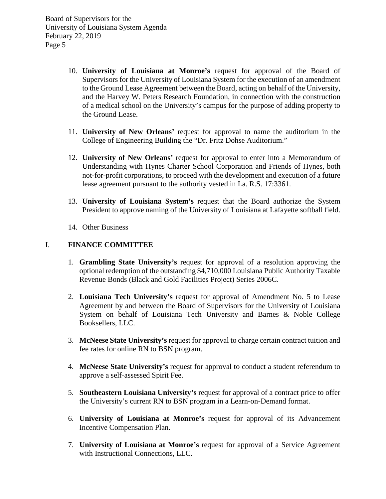- 10. **University of Louisiana at Monroe's** request for approval of the Board of Supervisors for the University of Louisiana System for the execution of an amendment to the Ground Lease Agreement between the Board, acting on behalf of the University, and the Harvey W. Peters Research Foundation, in connection with the construction of a medical school on the University's campus for the purpose of adding property to the Ground Lease.
- 11. **University of New Orleans'** request for approval to name the auditorium in the College of Engineering Building the "Dr. Fritz Dohse Auditorium."
- 12. **University of New Orleans'** request for approval to enter into a Memorandum of Understanding with Hynes Charter School Corporation and Friends of Hynes, both not-for-profit corporations, to proceed with the development and execution of a future lease agreement pursuant to the authority vested in La. R.S. 17:3361.
- 13. **University of Louisiana System's** request that the Board authorize the System President to approve naming of the University of Louisiana at Lafayette softball field.
- 14. Other Business

### I. **FINANCE COMMITTEE**

- 1. **Grambling State University's** request for approval of a resolution approving the optional redemption of the outstanding \$4,710,000 Louisiana Public Authority Taxable Revenue Bonds (Black and Gold Facilities Project) Series 2006C.
- 2. **Louisiana Tech University's** request for approval of Amendment No. 5 to Lease Agreement by and between the Board of Supervisors for the University of Louisiana System on behalf of Louisiana Tech University and Barnes & Noble College Booksellers, LLC.
- 3. **McNeese State University's** request for approval to charge certain contract tuition and fee rates for online RN to BSN program.
- 4. **McNeese State University's** request for approval to conduct a student referendum to approve a self-assessed Spirit Fee.
- 5. **Southeastern Louisiana University's** request for approval of a contract price to offer the University's current RN to BSN program in a Learn-on-Demand format.
- 6. **University of Louisiana at Monroe's** request for approval of its Advancement Incentive Compensation Plan.
- 7. **University of Louisiana at Monroe's** request for approval of a Service Agreement with Instructional Connections, LLC.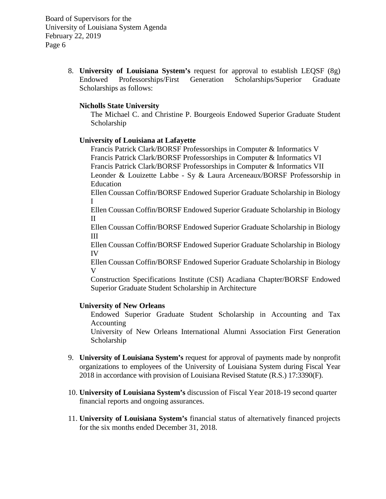> 8. **University of Louisiana System's** request for approval to establish LEQSF (8g) Endowed Professorships/First Generation Scholarships/Superior Graduate Scholarships as follows:

### **Nicholls State University**

The Michael C. and Christine P. Bourgeois Endowed Superior Graduate Student Scholarship

#### **University of Louisiana at Lafayette**

Francis Patrick Clark/BORSF Professorships in Computer & Informatics V Francis Patrick Clark/BORSF Professorships in Computer & Informatics VI Francis Patrick Clark/BORSF Professorships in Computer & Informatics VII Leonder & Louizette Labbe - Sy & Laura Arceneaux/BORSF Professorship in Education

Ellen Coussan Coffin/BORSF Endowed Superior Graduate Scholarship in Biology I

Ellen Coussan Coffin/BORSF Endowed Superior Graduate Scholarship in Biology II

Ellen Coussan Coffin/BORSF Endowed Superior Graduate Scholarship in Biology III

Ellen Coussan Coffin/BORSF Endowed Superior Graduate Scholarship in Biology IV

Ellen Coussan Coffin/BORSF Endowed Superior Graduate Scholarship in Biology V

Construction Specifications Institute (CSI) Acadiana Chapter/BORSF Endowed Superior Graduate Student Scholarship in Architecture

#### **University of New Orleans**

Endowed Superior Graduate Student Scholarship in Accounting and Tax Accounting

University of New Orleans International Alumni Association First Generation Scholarship

- 9. **University of Louisiana System's** request for approval of payments made by nonprofit organizations to employees of the University of Louisiana System during Fiscal Year 2018 in accordance with provision of Louisiana Revised Statute (R.S.) 17:3390(F).
- 10. **University of Louisiana System's** discussion of Fiscal Year 2018-19 second quarter financial reports and ongoing assurances.
- 11. **University of Louisiana System's** financial status of alternatively financed projects for the six months ended December 31, 2018.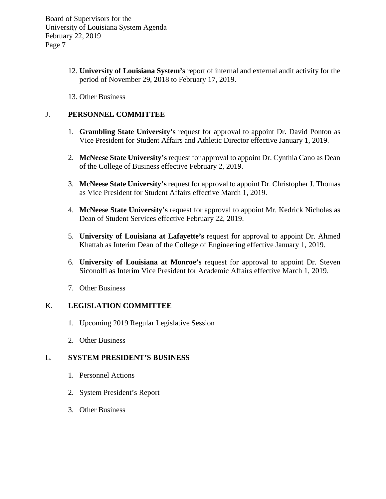- 12. **University of Louisiana System's** report of internal and external audit activity for the period of November 29, 2018 to February 17, 2019.
- 13. Other Business

### J. **PERSONNEL COMMITTEE**

- 1. **Grambling State University's** request for approval to appoint Dr. David Ponton as Vice President for Student Affairs and Athletic Director effective January 1, 2019.
- 2. **McNeese State University's** request for approval to appoint Dr. Cynthia Cano as Dean of the College of Business effective February 2, 2019.
- 3. **McNeese State University's**request for approval to appoint Dr. Christopher J. Thomas as Vice President for Student Affairs effective March 1, 2019.
- 4. **McNeese State University's** request for approval to appoint Mr. Kedrick Nicholas as Dean of Student Services effective February 22, 2019.
- 5. **University of Louisiana at Lafayette's** request for approval to appoint Dr. Ahmed Khattab as Interim Dean of the College of Engineering effective January 1, 2019.
- 6. **University of Louisiana at Monroe's** request for approval to appoint Dr. Steven Siconolfi as Interim Vice President for Academic Affairs effective March 1, 2019.
- 7. Other Business

### K. **LEGISLATION COMMITTEE**

- 1. Upcoming 2019 Regular Legislative Session
- 2. Other Business

### L. **SYSTEM PRESIDENT'S BUSINESS**

- 1. Personnel Actions
- 2. System President's Report
- 3. Other Business